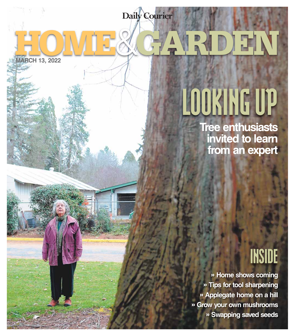HOME&GARDEN **Daily Courier**

**MARCH 13, 2022**

# LOOKING UP

**Tree enthusiasts invited to learn from an expert**

### INSIDE

**» Home shows coming » Tips for tool sharpening » Applegate home on a hill » Grow your own mushrooms » Swapping saved seeds**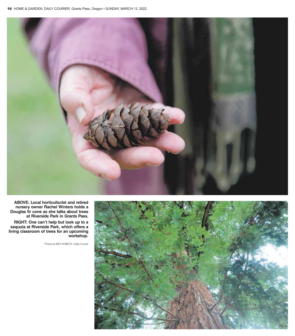

**ABOVE: Local horticulturist and retired nursery owner Rachel Winters holds a Douglas fir cone as she talks about trees at Riverside Park in Grants Pass.**

**RIGHT: One can't help but look up to a sequoia at Riverside Park, which offers a living classroom of trees for an upcoming workshop.**

Photos by BEA AHBECK / Daily Courier

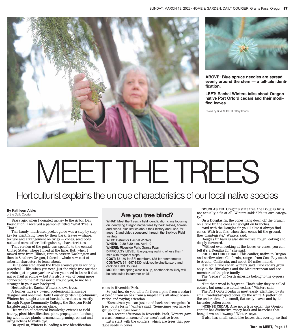



**ABOVE: Blue spruce needles are spread evenly around the stem — a tell-tale identification.**

**LEFT: Rachel Winters talks about Oregon native Port Orford cedars and their modified leaves.**

Photos by BEA AHBECK / Daily Courier

## MEET THE TREES

#### Horticulturist explains the unique characteristics of our local native species

#### **By Kathleen Alaks** of the Daily Courier

Years ago, when I donated money to the Arbor Day Foundation, I received a pamphlet titled "What Tree Is That?"

This handy, illustrated pocket guide was a step-by-step key for identifying trees by their bark, leaves — shape, texture and arrangement on twigs — cones, seed pods, nuts and some other distinguishing characteristics.

That version of the guide was specific to the central United States, where I lived at the time. But, when I moved west from Illinois, first to eastern Washington and then to Southern Oregon, I faced a whole new cast of arborial characters to learn about.

Being educated about the trees around you is not only practical — like when you need just the right tree for that certain spot in your yard or when you need to know if that nut or fruit is edible — but it's also a way of being more connected to the natural world around you, to not be a stranger in your own backyard.

Horticulturist Rachel Winters knows trees.

A former nursery owner, professional landscape designer and one-time Daily Courier gardening columnist, Winters has taught a ton of horticulture classes, mostly through Rogue Community College, the Siskiyou Field Institute and local garden clubs.

Her wealth of botanical knowledge extends to field botany, plant identification, plant propagation, landscaping with native plants, ornamental pruning, bonsai and using lichens to make dye.

On April 10, Winters is leading a tree identification

#### **Are you tree blind?**

**WHAT:** Meet the Trees, a field identification class focusing on identifying Oregon native trees by bark, leaves, flowers and seeds, plus stories about their history and uses, for ages 12 and older, sponsored through the Siskiyou Field Institute

**WHO:** Instructor Rachel Winters

**WHEN:** 12:30-3:30 p.m. April 10

**WHERE:** Riverside Park, Grants Pass

**DIFFICULTY LEVEL:** Easy-going walking of less than 1 mile with frequent stops

**COST:** \$31.50 for SFI members, \$35 for nonmembers **CONTACT:** 541-597-8530, siskiyoufieldinstitute.org and click on Field Courses

**MORE:** If the spring class fills up, another class likely will be scheduled in summer or fall.

class in Riverside Park.

So just how do you tell a fir from a pine from a cedar? A beech from an oak from a maple? It's all about observation and paying attention.

"Sometimes you can just stand back and recognize [a tree] by its form," Winters said. "Sometimes you have to get up for a closer look."

On a recent afternoon in Riverside Park, Winters gave a crash course on some of our area's native trees.

Let's start with the conifers, which are trees that produce seeds in cones.

**DOUGLAS FIR.** Oregon's state tree, the Douglas fir is not actually a fir at all, Winters said: "It's its own category."

On a Douglas fir, the cones hang down off the branch; on a true fir, the cones sit upright on branches.

"And with the Douglas fir you'll almost always find cones. With true firs, when their cones hit the ground, they disintegrate," Winters said.

Douglas fir bark is also distinctive: rough looking and deeply furrowed.

"Without even looking at the leaves or cones, you can tell it's a Douglas fir," she said.

**PORT ORFORD CEDAR.** This conifer, native to Oregon and northwestern California, ranges from Coos Bay south to Arcata, California, and about 100 miles inland.

It is not a true cedar, Winters said. True cedars grow only in the Himalayas and the Mediterranean and are members of the pine family.

The "cedars" of North America belong to the cypress family.

"But their wood is fragrant. That's why they're called cedars, but none are actual cedars," Winters said.

The Port Orford cedar is most easily identified by its small rosebud-shaped cones, by the white X pattern on the undersides of its small, flat scaly leaves and by its lavender pollen cones.

**INCENSE CEDAR.** Also not a true cedar, this Oregon conifer has distinctive, ropey bark and branches that hang down and "swoop," Winters says.

It also has small, scale-like leaves that overlap, so that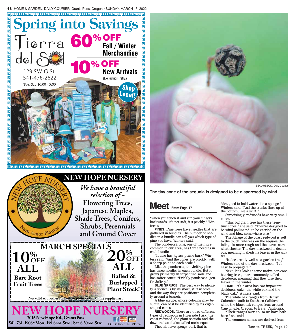







**The tiny cone of the sequoia is designed to be disperesed by wind.**

#### Meet From Page 17

"when you touch it and run your fingers backwards, it's not soft, it's prickly," Winters said.

**PINES.** Pine trees have needles that are gathered in bundles. The number of needles in a bundle can tell you which type of pine you have, Winters said.

The ponderosa pine, one of the more common in our area, has three needles in each bundle.

"It also has jigsaw puzzle bark" Winters said. "And the cones are prickly, with a sharp point on each scale."

Like the ponderosa, the Jeffrey pine has three needles in each bundle. But it grows primarily in serpentine soils and has softer cones: "Prickly ponderosa, gentle Jeffrey."

**BLUE SPRUCE.** The best way to identify a spruce is by its short, stiff needles and the way they are positioned completely around a branch.

A blue spruce, whose coloring may be subtle, can best be identified by its cigarshaped cones.

**REDWOODS.** There are three different types of redwoods in Riverside Park: the coast redwood, the giant sequoia and the dawn redwood also called metasequoia.

They all have spongy bark that is

"designed to hold water like a sponge," Winters said. "And the trunks flare up at the bottom, like a skirt."

Surprisingly, redwoods have very small cones.

"This big giant tree has these teeny tiny cones," she said. "They're designed to be wind pollinated, to be carried on the wind and blow somewhere else."

The foliage of the coast redwood is soft to the touch, whereas on the sequoia the foliage is more rough and the leaves somewhat shorter. The dawn redwood is deciduous, meaning it sheds its leaves in the winter.

"It does really well as a garden tree," Winters said of the dawn redwood. "It's easy to propagate."

Next, let's look at some native non-cone bearing trees, more commonly called deciduous, meaning that they lose their leaves in the winter.

**OAKS.** "Our area has two important deciduous oaks: the white oak and the black oak," Winters said.

The white oak ranges from British Columbia south to Southern California, while the black oak ranges from around Canyonville, Oregon, to Baja, California.

"Their ranges overlap, so we have both here," she said.

The common names are derived from